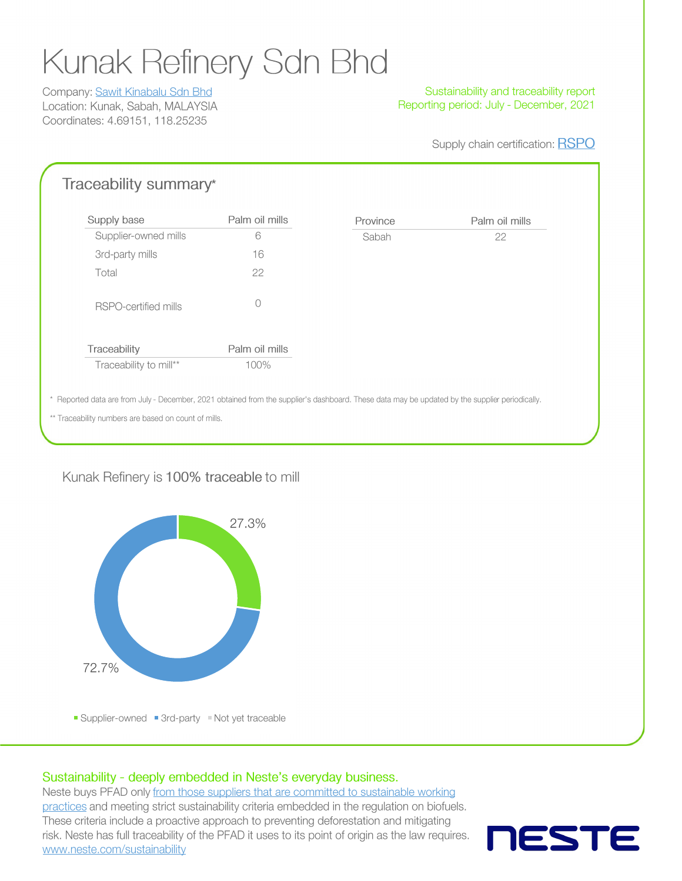# **Kunak Refinery Sdn Bhd**

Company: Sawit Kinabalu Sdn Bhd Location: Kunak, Sabah, MALAYSIA Coordinates: 4.69151, 118.25235

#### Sustainability and traceability report Reporting period: July - December, 2021

Palm oil mills

22

Supply chain certification: RSPO

### Traceability summary\*

| Supply base            | Palm oil mills | Province |  |  |
|------------------------|----------------|----------|--|--|
| Supplier-owned mills   | 6              | Sabah    |  |  |
| 3rd-party mills        | 16             |          |  |  |
| Total                  | 22             |          |  |  |
| RSPO-certified mills   | Ω              |          |  |  |
| Traceability           | Palm oil mills |          |  |  |
| Traceability to mill** | 100%           |          |  |  |
|                        |                |          |  |  |

\* Reported data are from July - December, 2021 obtained from the supplier's dashboard. These data may be updated by the supplier periodically.

\*\* Traceability numbers are based on count of mills.

#### Kunak Refinery is 100% traceable to mill



#### Sustainability - deeply embedded in Neste's everyday business.

Neste buys PFAD only from those suppliers that are committed to sustainable working practices and meeting strict sustainability criteria embedded in the regulation on biofuels. These criteria include a proactive approach to preventing deforestation and mitigating risk. Neste has full traceability of the PFAD it uses to its point of origin as the law requires. www.neste.com/sustainability